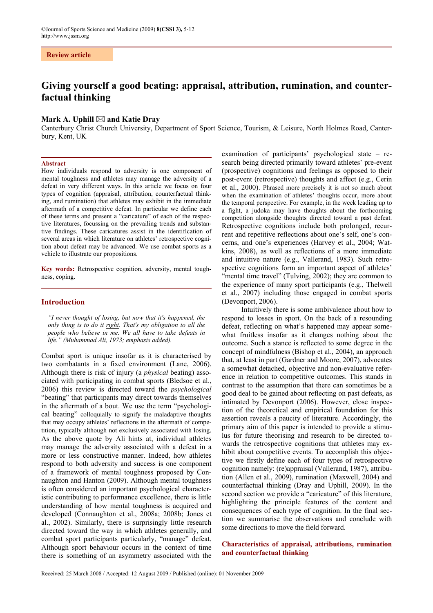# **Review article**

# **Giving yourself a good beating: appraisal, attribution, rumination, and counterfactual thinking**

# Mark A. Uphill  $\boxtimes$  and Katie Dray

Canterbury Christ Church University, Department of Sport Science, Tourism, & Leisure, North Holmes Road, Canterbury, Kent, UK

# **Abstract**

How individuals respond to adversity is one component of mental toughness and athletes may manage the adversity of a defeat in very different ways. In this article we focus on four types of cognition (appraisal, attribution, counterfactual thinking, and rumination) that athletes may exhibit in the immediate aftermath of a competitive defeat. In particular we define each of these terms and present a "caricature" of each of the respective literatures, focussing on the prevailing trends and substantive findings. These caricatures assist in the identification of several areas in which literature on athletes' retrospective cognition about defeat may be advanced. We use combat sports as a vehicle to illustrate our propositions.

**Key words:** Retrospective cognition, adversity, mental toughness, coping.

## **Introduction**

*"I never thought of losing, but now that it's happened, the only thing is to do it right. That's my obligation to all the people who believe in me. We all have to take defeats in life." (Muhammad Ali, 1973; emphasis added).* 

Combat sport is unique insofar as it is characterised by two combatants in a fixed environment (Lane, 2006). Although there is risk of injury (a *physical* beating) associated with participating in combat sports (Bledsoe et al., 2006) this review is directed toward the *psychological* "beating" that participants may direct towards themselves in the aftermath of a bout. We use the term "psychological beating" colloquially to signify the maladaptive thoughts that may occupy athletes' reflections in the aftermath of competition, typically although not exclusively associated with losing. As the above quote by Ali hints at, individual athletes may manage the adversity associated with a defeat in a more or less constructive manner. Indeed, how athletes respond to both adversity and success is one component of a framework of mental toughness proposed by Connaughton and Hanton (2009). Although mental toughness is often considered an important psychological characteristic contributing to performance excellence, there is little understanding of how mental toughness is acquired and developed (Connaughton et al., 2008a; 2008b; Jones et al., 2002). Similarly, there is surprisingly little research directed toward the way in which athletes generally, and combat sport participants particularly, "manage" defeat. Although sport behaviour occurs in the context of time there is something of an asymmetry associated with the

examination of participants' psychological state – research being directed primarily toward athletes' pre-event (prospective) cognitions and feelings as opposed to their post-event (retrospective) thoughts and affect (e.g., Cerin et al., 2000). Phrased more precisely it is not so much about when the examination of athletes' thoughts occur, more about the temporal perspective. For example, in the week leading up to a fight, a judoka may have thoughts about the forthcoming competition alongside thoughts directed toward a past defeat. Retrospective cognitions include both prolonged, recurrent and repetitive reflections about one's self, one's concerns, and one's experiences (Harvey et al., 2004; Watkins, 2008), as well as reflections of a more immediate and intuitive nature (e.g., Vallerand, 1983). Such retrospective cognitions form an important aspect of athletes' "mental time travel" (Tulving, 2002); they are common to the experience of many sport participants (e.g., Thelwell et al., 2007) including those engaged in combat sports (Devonport, 2006).

Intuitively there is some ambivalence about how to respond to losses in sport. On the back of a resounding defeat, reflecting on what's happened may appear somewhat fruitless insofar as it changes nothing about the outcome. Such a stance is reflected to some degree in the concept of mindfulness (Bishop et al., 2004), an approach that, at least in part (Gardner and Moore, 2007), advocates a somewhat detached, objective and non-evaluative reference in relation to competitive outcomes. This stands in contrast to the assumption that there can sometimes be a good deal to be gained about reflecting on past defeats, as intimated by Devonport (2006). However, close inspection of the theoretical and empirical foundation for this assertion reveals a paucity of literature. Accordingly, the primary aim of this paper is intended to provide a stimulus for future theorising and research to be directed towards the retrospective cognitions that athletes may exhibit about competitive events. To accomplish this objective we firstly define each of four types of retrospective cognition namely: (re)appraisal (Vallerand, 1987), attribution (Allen et al., 2009), rumination (Maxwell, 2004) and counterfactual thinking (Dray and Uphill, 2009). In the second section we provide a "caricature" of this literature, highlighting the principle features of the content and consequences of each type of cognition. In the final section we summarise the observations and conclude with some directions to move the field forward.

# **Characteristics of appraisal, attributions, rumination and counterfactual thinking**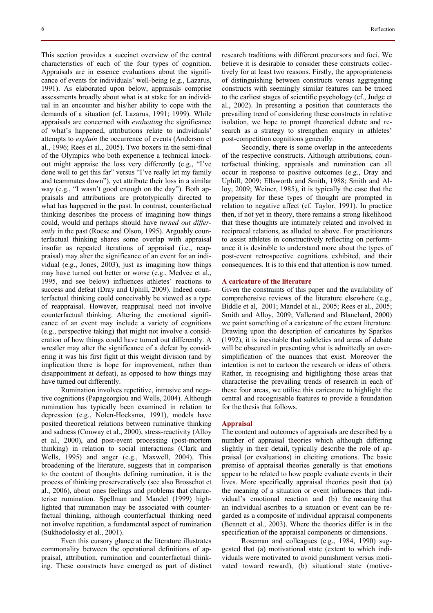This section provides a succinct overview of the central characteristics of each of the four types of cognition. Appraisals are in essence evaluations about the significance of events for individuals' well-being (e.g., Lazarus, 1991). As elaborated upon below, appraisals comprise assessments broadly about what is at stake for an individual in an encounter and his/her ability to cope with the demands of a situation (cf. Lazarus, 1991; 1999). While appraisals are concerned with *evaluating* the significance of what's happened, attributions relate to individuals' attempts to *explain* the occurrence of events (Anderson et al., 1996; Rees et al., 2005). Two boxers in the semi-final of the Olympics who both experience a technical knockout might appraise the loss very differently (e.g., "I've done well to get this far" versus "I've really let my family and teammates down"), yet attribute their loss in a similar way (e.g., "I wasn't good enough on the day"). Both appraisals and attributions are prototypically directed to what has happened in the past. In contrast, counterfactual thinking describes the process of imagining how things could, would and perhaps should have *turned out differently* in the past (Roese and Olson, 1995). Arguably counterfactual thinking shares some overlap with appraisal insofar as repeated iterations of appraisal (i.e., reappraisal) may alter the significance of an event for an individual (e.g., Jones, 2003), just as imagining how things may have turned out better or worse (e.g., Medvec et al., 1995, and see below) influences athletes' reactions to success and defeat (Dray and Uphill, 2009). Indeed counterfactual thinking could conceivably be viewed as a type of reappraisal. However, reappraisal need not involve counterfactual thinking. Altering the emotional significance of an event may include a variety of cognitions (e.g., perspective taking) that might not involve a consideration of how things could have turned out differently. A wrestler may alter the significance of a defeat by considering it was his first fight at this weight division (and by implication there is hope for improvement, rather than disappointment at defeat), as opposed to how things may have turned out differently.

Rumination involves repetitive, intrusive and negative cognitions (Papageorgiou and Wells, 2004). Although rumination has typically been examined in relation to depression (e.g., Nolen-Hoeksma, 1991), models have posited theoretical relations between ruminative thinking and sadness (Conway et al., 2000), stress-reactivity (Alloy et al., 2000), and post-event processing (post-mortem thinking) in relation to social interactions (Clark and Wells, 1995) and anger (e.g., Maxwell, 2004). This broadening of the literature, suggests that in comparison to the content of thoughts defining rumination, it is the process of thinking preserveratively (see also Brosschot et al., 2006), about ones feelings and problems that characterise rumination. Spellman and Mandel (1999) highlighted that rumination may be associated with counterfactual thinking, although counterfactual thinking need not involve repetition, a fundamental aspect of rumination (Sukhodolosky et al., 2001).

Even this cursory glance at the literature illustrates commonality between the operational definitions of appraisal, attribution, rumination and counterfactual thinking. These constructs have emerged as part of distinct research traditions with different precursors and foci. We believe it is desirable to consider these constructs collectively for at least two reasons. Firstly, the appropriateness of distinguishing between constructs versus aggregating constructs with seemingly similar features can be traced to the earliest stages of scientific psychology (cf., Judge et al., 2002). In presenting a position that counteracts the prevailing trend of considering these constructs in relative isolation, we hope to prompt theoretical debate and research as a strategy to strengthen enquiry in athletes' post-competition cognitions generally.

Secondly, there is some overlap in the antecedents of the respective constructs. Although attributions, counterfactual thinking, appraisals and rumination can all occur in response to positive outcomes (e.g., Dray and Uphill, 2009; Ellsworth and Smith, 1988; Smith and Alloy, 2009; Weiner, 1985), it is typically the case that the propensity for these types of thought are prompted in relation to negative affect (cf. Taylor, 1991). In practice then, if not yet in theory, there remains a strong likelihood that these thoughts are intimately related and involved in reciprocal relations, as alluded to above. For practitioners to assist athletes in constructively reflecting on performance it is desirable to understand more about the types of post-event retrospective cognitions exhibited, and their consequences. It is to this end that attention is now turned.

## **A caricature of the literature**

Given the constraints of this paper and the availability of comprehensive reviews of the literature elsewhere (e.g., Biddle et al, 2001; Mandel et al., 2005; Rees et al., 2005; Smith and Alloy, 2009; Vallerand and Blanchard, 2000) we paint something of a caricature of the extant literature. Drawing upon the description of caricatures by Sparkes (1992), it is inevitable that subtleties and areas of debate will be obscured in presenting what is admittedly an oversimplification of the nuances that exist. Moreover the intention is not to cartoon the research or ideas of others. Rather, in recognising and highlighting those areas that characterise the prevailing trends of research in each of these four areas, we utilise this caricature to highlight the central and recognisable features to provide a foundation for the thesis that follows.

#### **Appraisal**

The content and outcomes of appraisals are described by a number of appraisal theories which although differing slightly in their detail, typically describe the role of appraisal (or evaluations) in eliciting emotions. The basic premise of appraisal theories generally is that emotions appear to be related to how people evaluate events in their lives. More specifically appraisal theories posit that (a) the meaning of a situation or event influences that individual's emotional reaction and (b) the meaning that an individual ascribes to a situation or event can be regarded as a composite of individual appraisal components (Bennett et al., 2003). Where the theories differ is in the specification of the appraisal components or dimensions.

Roseman and colleagues (e.g., 1984, 1990) suggested that (a) motivational state (extent to which individuals were motivated to avoid punishment versus motivated toward reward), (b) situational state (motive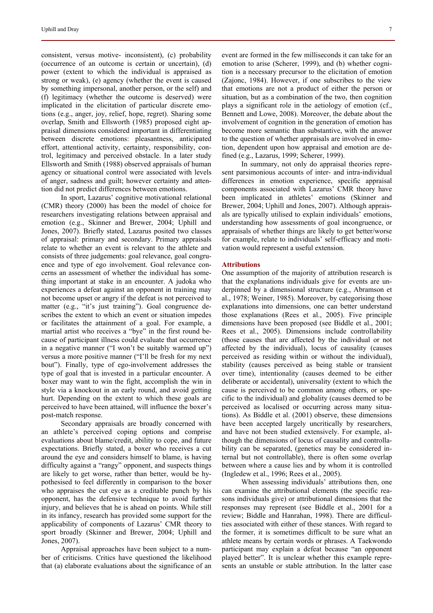consistent, versus motive- inconsistent), (c) probability (occurrence of an outcome is certain or uncertain), (d) power (extent to which the individual is appraised as strong or weak), (e) agency (whether the event is caused by something impersonal, another person, or the self) and (f) legitimacy (whether the outcome is deserved) were implicated in the elicitation of particular discrete emotions (e.g., anger, joy, relief, hope, regret). Sharing some overlap, Smith and Ellsworth (1985) proposed eight appraisal dimensions considered important in differentiating between discrete emotions: pleasantness, anticipated effort, attentional activity, certainty, responsibility, control, legitimacy and perceived obstacle. In a later study Ellsworth and Smith (1988) observed appraisals of human agency or situational control were associated with levels of anger, sadness and guilt; however certainty and attention did not predict differences between emotions.

In sport, Lazarus' cognitive motivational relational (CMR) theory (2000) has been the model of choice for researchers investigating relations between appraisal and emotion (e.g., Skinner and Brewer, 2004; Uphill and Jones, 2007). Briefly stated, Lazarus posited two classes of appraisal: primary and secondary. Primary appraisals relate to whether an event is relevant to the athlete and consists of three judgements: goal relevance, goal congruence and type of ego involvement. Goal relevance concerns an assessment of whether the individual has something important at stake in an encounter. A judoka who experiences a defeat against an opponent in training may not become upset or angry if the defeat is not perceived to matter (e.g., "it's just training"). Goal congruence describes the extent to which an event or situation impedes or facilitates the attainment of a goal. For example, a martial artist who receives a "bye" in the first round because of participant illness could evaluate that occurrence in a negative manner ("I won't be suitably warmed up") versus a more positive manner ("I'll be fresh for my next bout"). Finally, type of ego-involvement addresses the type of goal that is invested in a particular encounter. A boxer may want to win the fight, accomplish the win in style via a knockout in an early round, and avoid getting hurt. Depending on the extent to which these goals are perceived to have been attained, will influence the boxer's post-match response.

Secondary appraisals are broadly concerned with an athlete's perceived coping options and comprise evaluations about blame/credit, ability to cope, and future expectations. Briefly stated, a boxer who receives a cut around the eye and considers himself to blame, is having difficulty against a "rangy" opponent, and suspects things are likely to get worse, rather than better, would be hypothesised to feel differently in comparison to the boxer who appraises the cut eye as a creditable punch by his opponent, has the defensive technique to avoid further injury, and believes that he is ahead on points. While still in its infancy, research has provided some support for the applicability of components of Lazarus' CMR theory to sport broadly (Skinner and Brewer, 2004; Uphill and Jones, 2007).

Appraisal approaches have been subject to a number of criticisms. Critics have questioned the likelihood that (a) elaborate evaluations about the significance of an event are formed in the few milliseconds it can take for an emotion to arise (Scherer, 1999), and (b) whether cognition is a necessary precursor to the elicitation of emotion (Zajonc, 1984). However, if one subscribes to the view that emotions are not a product of either the person or situation, but as a combination of the two, then cognition plays a significant role in the aetiology of emotion (cf., Bennett and Lowe, 2008). Moreover, the debate about the involvement of cognition in the generation of emotion has become more semantic than substantive, with the answer to the question of whether appraisals are involved in emotion, dependent upon how appraisal and emotion are defined (e.g., Lazarus, 1999; Scherer, 1999).

In summary, not only do appraisal theories represent parsimonious accounts of inter- and intra-individual differences in emotion experience, specific appraisal components associated with Lazarus' CMR theory have been implicated in athletes' emotions (Skinner and Brewer, 2004; Uphill and Jones, 2007). Although appraisals are typically utilised to explain individuals' emotions, understanding how assessments of goal incongruence, or appraisals of whether things are likely to get better/worse for example, relate to individuals' self-efficacy and motivation would represent a useful extension.

#### **Attributions**

One assumption of the majority of attribution research is that the explanations individuals give for events are underpinned by a dimensional structure (e.g., Abramson et al., 1978; Weiner, 1985). Moreover, by categorising those explanations into dimensions, one can better understand those explanations (Rees et al., 2005). Five principle dimensions have been proposed (see Biddle et al., 2001; Rees et al., 2005). Dimensions include controllability (those causes that are affected by the individual or not affected by the individual), locus of causality (causes perceived as residing within or without the individual), stability (causes perceived as being stable or transient over time), intentionality (causes deemed to be either deliberate or accidental), universality (extent to which the cause is perceived to be common among others, or specific to the individual) and globality (causes deemed to be perceived as localised or occurring across many situations). As Biddle et al. (2001) observe, these dimensions have been accepted largely uncritically by researchers, and have not been studied extensively. For example, although the dimensions of locus of causality and controllability can be separated, (genetics may be considered internal but not controllable), there is often some overlap between where a cause lies and by whom it is controlled (Ingledew et al., 1996; Rees et al., 2005).

When assessing individuals' attributions then, one can examine the attributional elements (the specific reasons individuals give) or attributional dimensions that the responses may represent (see Biddle et al., 2001 for a review; Biddle and Hanrahan, 1998). There are difficulties associated with either of these stances. With regard to the former, it is sometimes difficult to be sure what an athlete means by certain words or phrases. A Taekwondo participant may explain a defeat because "an opponent played better". It is unclear whether this example represents an unstable or stable attribution. In the latter case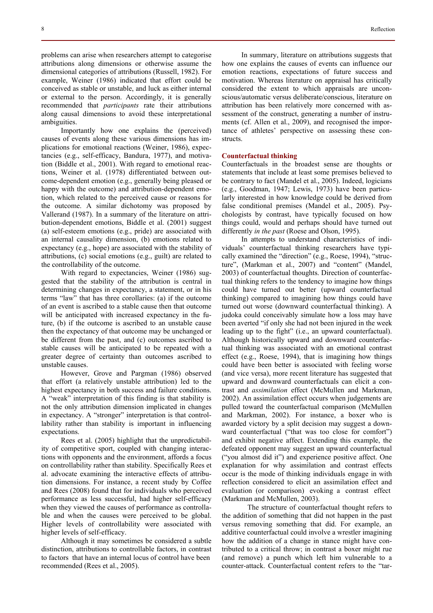problems can arise when researchers attempt to categorise attributions along dimensions or otherwise assume the dimensional categories of attributions (Russell, 1982). For example, Weiner (1986) indicated that effort could be conceived as stable or unstable, and luck as either internal or external to the person. Accordingly, it is generally recommended that *participants* rate their attributions along causal dimensions to avoid these interpretational ambiguities.

Importantly how one explains the (perceived) causes of events along these various dimensions has implications for emotional reactions (Weiner, 1986), expectancies (e.g., self-efficacy, Bandura, 1977), and motivation (Biddle et al., 2001). With regard to emotional reactions, Weiner et al. (1978) differentiated between outcome-dependent emotion (e.g., generally being pleased or happy with the outcome) and attribution-dependent emotion, which related to the perceived cause or reasons for the outcome. A similar dichotomy was proposed by Vallerand (1987). In a summary of the literature on attribution-dependent emotions, Biddle et al. (2001) suggest (a) self-esteem emotions (e.g., pride) are associated with an internal causality dimension, (b) emotions related to expectancy (e.g., hope) are associated with the stability of attributions, (c) social emotions (e.g., guilt) are related to the controllability of the outcome.

With regard to expectancies, Weiner (1986) suggested that the stability of the attribution is central in determining changes in expectancy, a statement, or in his terms "law" that has three corollaries: (a) if the outcome of an event is ascribed to a stable cause then that outcome will be anticipated with increased expectancy in the future, (b) if the outcome is ascribed to an unstable cause then the expectancy of that outcome may be unchanged or be different from the past, and (c) outcomes ascribed to stable causes will be anticipated to be repeated with a greater degree of certainty than outcomes ascribed to unstable causes.

However, Grove and Pargman (1986) observed that effort (a relatively unstable attribution) led to the highest expectancy in both success and failure conditions. A "weak" interpretation of this finding is that stability is not the only attribution dimension implicated in changes in expectancy. A "stronger" interpretation is that controllability rather than stability is important in influencing expectations.

Rees et al. (2005) highlight that the unpredictability of competitive sport, coupled with changing interactions with opponents and the environment, affords a focus on controllability rather than stability. Specifically Rees et al. advocate examining the interactive effects of attribution dimensions. For instance, a recent study by Coffee and Rees (2008) found that for individuals who perceived performance as less successful, had higher self-efficacy when they viewed the causes of performance as controllable and when the causes were perceived to be global. Higher levels of controllability were associated with higher levels of self-efficacy.

Although it may sometimes be considered a subtle distinction, attributions to controllable factors, in contrast to factors that have an internal locus of control have been recommended (Rees et al., 2005).

In summary, literature on attributions suggests that how one explains the causes of events can influence our emotion reactions, expectations of future success and motivation. Whereas literature on appraisal has critically considered the extent to which appraisals are unconscious/automatic versus deliberate/conscious, literature on attribution has been relatively more concerned with assessment of the construct, generating a number of instruments (cf. Allen et al., 2009), and recognised the importance of athletes' perspective on assessing these constructs.

#### **Counterfactual thinking**

Counterfactuals in the broadest sense are thoughts or statements that include at least some premises believed to be contrary to fact (Mandel et al., 2005). Indeed, logicians (e.g., Goodman, 1947; Lewis, 1973) have been particularly interested in how knowledge could be derived from false conditional premises (Mandel et al., 2005). Psychologists by contrast, have typically focused on how things could, would and perhaps should have turned out differently *in the past* (Roese and Olson, 1995).

In attempts to understand characteristics of individuals' counterfactual thinking researchers have typically examined the "direction" (e.g., Roese, 1994), "structure", (Markman et al., 2007) and "content" (Mandel, 2003) of counterfactual thoughts. Direction of counterfactual thinking refers to the tendency to imagine how things could have turned out better (upward counterfactual thinking) compared to imagining how things could have turned out worse (downward counterfactual thinking). A judoka could conceivably simulate how a loss may have been averted "if only she had not been injured in the week leading up to the fight" (i.e., an upward counterfactual). Although historically upward and downward counterfactual thinking was associated with an emotional contrast effect (e.g., Roese, 1994), that is imagining how things could have been better is associated with feeling worse (and vice versa), more recent literature has suggested that upward and downward counterfactuals can elicit a contrast and *assimilation* effect (McMullen and Markman, 2002). An assimilation effect occurs when judgements are pulled toward the counterfactual comparison (McMullen and Markman, 2002). For instance, a boxer who is awarded victory by a split decision may suggest a downward counterfactual ("that was too close for comfort") and exhibit negative affect. Extending this example, the defeated opponent may suggest an upward counterfactual ("you almost did it") and experience positive affect. One explanation for why assimilation and contrast effects occur is the mode of thinking individuals engage in with reflection considered to elicit an assimilation effect and evaluation (or comparison) evoking a contrast effect (Markman and McMullen, 2003).

 The structure of counterfactual thought refers to the addition of something that did not happen in the past versus removing something that did. For example, an additive counterfactual could involve a wrestler imagining how the addition of a change in stance might have contributed to a critical throw; in contrast a boxer might rue (and remove) a punch which left him vulnerable to a counter-attack. Counterfactual content refers to the "tar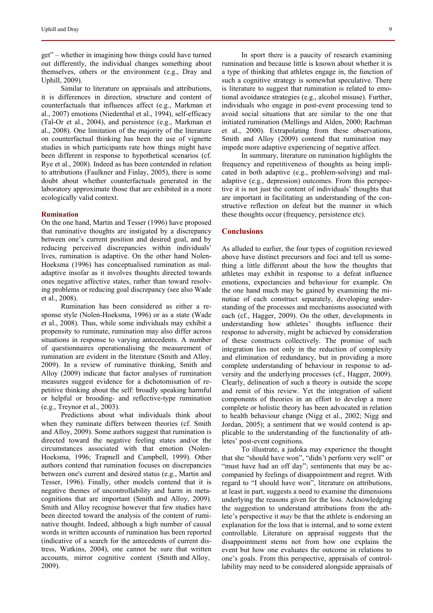get" – whether in imagining how things could have turned out differently, the individual changes something about themselves, others or the environment (e.g., Dray and Uphill, 2009).

Similar to literature on appraisals and attributions, it is differences in direction, structure and content of counterfactuals that influences affect (e.g., Markman et al., 2007) emotions (Niedenthal et al., 1994), self-efficacy (Tal-Or et al., 2004), and persistence (e.g., Markman et al., 2008). One limitation of the majority of the literature on counterfactual thinking has been the use of vignette studies in which participants rate how things might have been different in response to hypothetical scenarios (cf. Rye et al., 2008). Indeed as has been contended in relation to attributions (Faulkner and Finlay, 2005), there is some doubt about whether counterfactuals generated in the laboratory approximate those that are exhibited in a more ecologically valid context.

#### **Rumination**

On the one hand, Martin and Tesser (1996) have proposed that ruminative thoughts are instigated by a discrepancy between one's current position and desired goal, and by reducing perceived discrepancies within individuals' lives, rumination is adaptive. On the other hand Nolen-Hoeksma (1996) has conceptualised rumination as maladaptive insofar as it involves thoughts directed towards ones negative affective states, rather than toward resolving problems or reducing goal discrepancy (see also Wade et al., 2008).

Rumination has been considered as either a response style (Nolen-Hoeksma, 1996) or as a state (Wade et al., 2008). Thus, while some individuals may exhibit a propensity to ruminate, rumination may also differ across situations in response to varying antecedents. A number of questionnaires operationalising the measurement of rumination are evident in the literature (Smith and Alloy, 2009). In a review of ruminative thinking, Smith and Alloy (2009) indicate that factor analyses of rumination measures suggest evidence for a dichotomisation of repetitive thinking about the self: broadly speaking harmful or helpful or brooding- and reflective-type rumination (e.g., Treynor et al., 2003).

Predictions about what individuals think about when they ruminate differs between theories (cf. Smith and Alloy, 2009). Some authors suggest that rumination is directed toward the negative feeling states and/or the circumstances associated with that emotion (Nolen-Hoeksma, 1996; Trapnell and Campbell, 1999). Other authors contend that rumination focuses on discrepancies between one's current and desired status (e.g., Martin and Tesser, 1996). Finally, other models contend that it is negative themes of uncontrollability and harm in metacognitions that are important (Smith and Alloy, 2009). Smith and Alloy recognise however that few studies have been directed toward the analysis of the content of ruminative thought. Indeed, although a high number of causal words in written accounts of rumination has been reported (indicative of a search for the antecedents of current distress, Watkins, 2004), one cannot be sure that written accounts, mirror cognitive content (Smith and Alloy, 2009).

In sport there is a paucity of research examining rumination and because little is known about whether it is a type of thinking that athletes engage in, the function of such a cognitive strategy is somewhat speculative. There is literature to suggest that rumination is related to emotional avoidance strategies (e.g., alcohol misuse). Further, individuals who engage in post-event processing tend to avoid social situations that are similar to the one that initiated rumination (Mellings and Alden, 2000; Rachman et al., 2000). Extrapolating from these observations, Smith and Alloy (2009) contend that rumination may impede more adaptive experiencing of negative affect.

In summary, literature on rumination highlights the frequency and repetitiveness of thoughts as being implicated in both adaptive (e.g., problem-solving) and maladaptive (e.g., depression) outcomes. From this perspective it is not just the content of individuals' thoughts that are important in facilitating an understanding of the constructive reflection on defeat but the manner in which these thoughts occur (frequency, persistence etc).

## **Conclusions**

As alluded to earlier, the four types of cognition reviewed above have distinct precursors and foci and tell us something a little different about the how the thoughts that athletes may exhibit in response to a defeat influence emotions, expectancies and behaviour for example. On the one hand much may be gained by examining the minutiae of each construct separately, developing understanding of the processes and mechanisms associated with each (cf., Hagger, 2009). On the other, developments in understanding how athletes' thoughts influence their response to adversity, might be achieved by consideration of these constructs collectively. The promise of such integration lies not only in the reduction of complexity and elimination of redundancy, but in providing a more complete understanding of behaviour in response to adversity and the underlying processes (cf., Hagger, 2009). Clearly, delineation of such a theory is outside the scope and remit of this review. Yet the integration of salient components of theories in an effort to develop a more complete or holistic theory has been advocated in relation to health behaviour change (Nigg et al., 2002; Nigg and Jordan, 2005); a sentiment that we would contend is applicable to the understanding of the functionality of athletes' post-event cognitions.

To illustrate, a judoka may experience the thought that she "should have won", "didn't perform very well" or "must have had an off day"; sentiments that may be accompanied by feelings of disappointment and regret. With regard to "I should have won", literature on attributions, at least in part, suggests a need to examine the dimensions underlying the reasons given for the loss. Acknowledging the suggestion to understand attributions from the athlete's perspective it *may* be that the athlete is endorsing an explanation for the loss that is internal, and to some extent controllable. Literature on appraisal suggests that the disappointment stems not from how one explains the event but how one evaluates the outcome in relations to one's goals. From this perspective, appraisals of controllability may need to be considered alongside appraisals of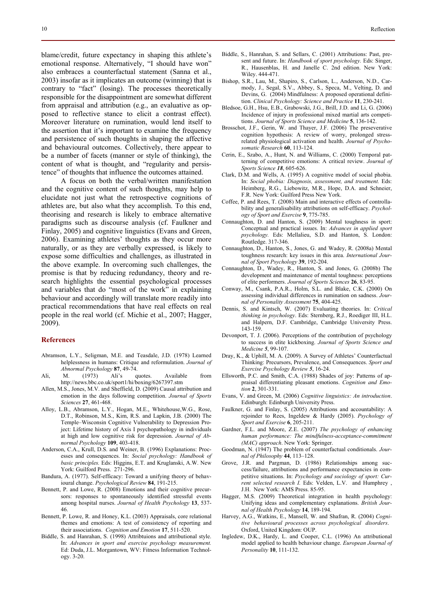blame/credit, future expectancy in shaping this athlete's emotional response. Alternatively, "I should have won" also embraces a counterfactual statement (Sanna et al., 2003) insofar as it implicates an outcome (winning) that is contrary to "fact" (losing). The processes theoretically responsible for the disappointment are somewhat different from appraisal and attribution (e.g., an evaluative as opposed to reflective stance to elicit a contrast effect). Moreover literature on rumination, would lend itself to the assertion that it's important to examine the frequency and persistence of such thoughts in shaping the affective and behavioural outcomes. Collectively, there appear to be a number of facets (manner or style of thinking), the content of what is thought, and "regularity and persistence" of thoughts that influence the outcomes attained.

A focus on both the verbal/written manifestation and the cognitive content of such thoughts, may help to elucidate not just what the retrospective cognitions of athletes are, but also what they accomplish. To this end, theorising and research is likely to embrace alternative paradigms such as discourse analysis (cf. Faulkner and Finlay, 2005) and cognitive linguistics (Evans and Green, 2006). Examining athletes' thoughts as they occur more naturally, or as they are verbally expressed, is likely to expose some difficulties and challenges, as illustrated in the above example. In overcoming such challenges, the promise is that by reducing redundancy, theory and research highlights the essential psychological processes and variables that do "most of the work" in explaining behaviour and accordingly will translate more readily into practical recommendations that have real effects on real people in the real world (cf. Michie et al., 2007; Hagger, 2009).

# **References**

- Abramson, L.Y., Seligman, M.E. and Teasdale, J.D. (1978) Learned helplessness in humans: Critique and reformulation. *Journal of Abnormal Psychology* **87**, 49-74.
- Ali, M. (1973) Ali's quotes. Available from http://news.bbc.co.uk/sport1/hi/boxing/6267397.stm
- Allen, M.S., Jones, M.V. and Sheffield, D. (2009) Causal attribution and emotion in the days following competition. *Journal of Sports Sciences* **27**, 461-468.
- Alloy, L.B., Abramson, L.Y., Hogan, M.E., Whitehouse,W.G., Rose, D.T., Robinson, M.S., Kim, R.S. and Lapkin, J.B. (2000) The Temple–Wisconsin Cognitive Vulnerability to Depression Project: Lifetime history of Axis I psychopathology in individuals at high and low cognitive risk for depression. *Journal of Abnormal Psychology* **109**, 403-418.
- Anderson, C.A., Krull, D.S. and Weiner, B. (1996) Explanations: Processes and consequences. In: *Social psychology: Handbook of basic principles.* Eds: Higgins, E.T. and Kruglanski, A.W. New York: Guilford Press. 271-296.
- Bandura, A. (1977). Self-efficacy: Toward a unifying theory of behavioural change. *Psychological Review* **84**, 191-215.
- Bennett, P. and Lowe, R. (2008) Emotions and their cognitive precursors: responses to spontaneously identified stressful events among hospital nurses. *Journal of Health Psychology* **13**, 537- 46.
- Bennett, P. Lowe, R. and Honey, K.L. (2003) Appraisals, core relational themes and emotions: A test of consistency of reporting and their associations. *Cognition and Emotion* **17**, 511-520.
- Biddle, S. and Hanrahan, S. (1998) Attribtuions and attributional style. In: *Advances in sport and exercise psychology measurement.* Ed: Duda, J.L. Morgantown, WV: Fitness Information Technology. 3-20.
- Biddle, S., Hanrahan, S. and Sellars, C. (2001) Attributions: Past, present and future. In: *Handbook of sport psychology.* Eds: Singer, R., Hausenblas, H. and Janelle C. 2nd edition. New York: Wiley. 444-471.
- Bishop, S.R., Lau, M., Shapiro, S., Carlson, L., Anderson, N.D., Carmody, J., Segal, S.V., Abbey, S., Speca, M., Velting, D. and Devins, G. (2004) Mindfulness: A proposed operational definition. *Clinical Psychology: Science and Practice* **11**, 230-241.
- Bledsoe, G.H., Hsu, E.B., Grabowski, J.G., Brill, J.D. and Li, G. (2006) Incidence of injury in professional mixed martial arts competitions. *Journal of Sports Science and Medicine* **5**, 136-142.
- Brosschot, J.F., Gerin, W. and Thayer, J.F. (2006) The preseverative cognition hypothesis: A review of worry, prolonged stressrelated physiological activation and health. *Journal of Psychosomatic Research* **60**, 113-124.
- Cerin, E., Szabo, A., Hunt, N. and Williams, C. (2000) Temporal patterning of competitive emotions: A critical review. *Journal of Sports Science 18*, 605-626.
- Clark, D.M. and Wells, A. (1995) A cognitive model of social phobia. In: *Social phobia: Diagnosis, assessment, and treatment.* Eds: Heimberg, R.G., Liebowitz, M.R., Hope, D.A. and Schneier, F.R. New York: Guilford Press New York.
- Coffee, P. and Rees, T. (2008) Main and interactive effects of controllability and generalisability attributions on self-efficacy. *Psychology of Sport and Exercise* **9**, 775-785.
- Connaughton, D. and Hanton, S. (2009) Mental toughness in sport: Conceptual and practical issues. In: *Advances in applied sport psychology.* Eds: Mellalieu, S.D. and Hanton, S. London: Routledge. 317-346.
- Connaughton, D., Hanton, S., Jones, G. and Wadey, R. (2008a) Mental toughness research: key issues in this area. *International Journal of Sport Psychology* **39**, 192-204.
- Connaughton, D., Wadey, R., Hanton, S. and Jones, G. (2008b) The development and maintenance of mental toughness: perceptions of elite performers. *Journal of Sports Sciences* **26**, 83-95.
- Conway, M., Csank, P.A.R., Holm, S.L. and Blake, C.K. (2000) On assessing individual differences in rumination on sadness. *Journal of Personality Assessment* **75**, 404-425.
- Dennis, S. and Kintsch, W. (2007) Evaluating theories. In: *Critical thinking in psychology*. Eds: Sternberg, R.J., Roediger III, H.L. and Halpern, D.F. Cambridge, Cambridge University Press. 143-159.
- Devonport, T. J. (2006). Perceptions of the contribution of psychology to success in elite kickboxing. *Journal of Sports Science and Medicine 5*, 99-107.
- Dray, K., & Uphill, M. A. (2009). A Survey of Athletes' Counterfactual Thinking: Precursors, Prevalence, and Consequences. *Sport and Exercise Psychology Review 5*, 16-24.
- Ellsworth, P.C. and Smith, C.A. (1988) Shades of joy: Patterns of appraisal differentiating pleasant emotions. *Cognition and Emotion* **2**, 301-331.
- Evans, V. and Green, M. (2006) *Cognitive linguistics: An introduction*. Edinburgh: Edinburgh University Press.
- Faulkner, G. and Finlay, S. (2005) Attributions and accountability: A rejoinder to Rees, Ingeldew & Hardy (2005). *Psychology of Sport and Exercise* **6**, 205-211.
- Gardner, F.L. and Moore, Z.E. (2007) *The psychology of enhancing human performance: The mindfulness-acceptance-commitment (MAC) approach*. New York: Springer.
- Goodman, N. (1947) The problem of counterfactual conditionals. *Journal of Philosophy* **44**, 113–128.
- Grove, J.R. and Pargman, D. (1986) Relationships among success/failure, attributions and performance expectancies in competitive situations. In: *Psychology and sociology of sport: Current selected research I.* Eds: Velden, L.V. and Humphrey , J.H. New York: AMS Press. 85-95.
- Hagger, M.S. (2009) Theoretical integration in health psychology: Unifying ideas and complementary explanations. *British Journal of Health Psychology* **14**, 189-194.
- Harvey, A.G., Watkins, E., Mansell, W. and Shafran, R. (2004) *Cognitive behavioural processes across psychological disorders*. Oxford, United Kingdom: OUP.
- Ingledew, D.K., Hardy, L. and Cooper, C.L. (1996) An attributional model applied to health behaviour change. *European Journal of Personality* **10**, 111-132.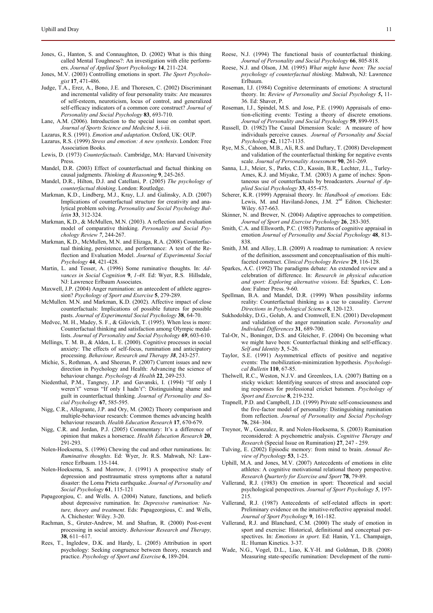- Jones, G., Hanton, S. and Connaughton, D. (2002) What is this thing called Mental Toughness?: An investigation with elite performers. *Journal of Applied Sport Psychology* **14**, 211-224.
- Jones, M.V. (2003) Controlling emotions in sport. *The Sport Psychologist* **17**, 471-486.
- Judge, T.A., Erez, A., Bono, J.E. and Thoresen, C. (2002) Discriminant and incremental validity of four personality traits: Are measures of self-esteem, neuroticism, locus of control, and generalized self-efficacy indicators of a common core construct? *Journal of Personality and Social Psychology* **83**, 693-710.
- Lane, A.M. (2006). Introduction to the special issue on combat sport. *Journal of Sports Science and Medicine 5*, i-iii.
- Lazarus, R.S. (1991). *Emotion and adaptation*. Oxford, UK: OUP.
- Lazarus, R.S. (1999) *Stress and emotion: A new synthesis*. London: Free Association Books.
- Lewis, D. (1973) *Counterfactuals*. Cambridge, MA: Harvard University Press.
- Mandel, D.R. (2003) Effect of counterfactual and factual thinking on causal judgments. *Thinking & Reasoning* **9**, 245-265.
- Mandel, D.R., Hilton, D.J. and Catellani, P. (2005) *The psychology of counterfactual thinking*. London: Routledge.
- Markman, K.D., Lindberg, M.J., Kray, L.J. and Galinsky, A.D. (2007) Implications of counterfactual structure for creativity and analytical problem solving. *Personality and Social Psychology Bulletin* **33**, 312-324.
- Markman, K.D., & McMullen, M.N. (2003). A reflection and evaluation model of comparative thinking. *Personality and Social Psychology Review 7*, 244-267.
- Markman, K.D., McMullen, M.N. and Elizaga, R.A. (2008) Counterfactual thinking, persistence, and performance: A test of the Reflection and Evaluation Model. *Journal of Experimental Social Psychology* **44**, 421-428.
- Martin, L. and Tesser, A. (1996) Some ruminative thoughts. In: *Advances in Social Cognition* **9**, *1-48.* Ed: Wyer, R.S. Hillsdale, NJ: Lawrence Erlbaum Associates.
- Maxwell, J.P. (2004) Anger rumination: an antecedent of athlete aggression? *Psychology of Sport and Exercise* **5**, 279-289.
- McMullen. M.N. and Markman, K.D. (2002). Affective impact of close counterfactuals: Implications of possible futures for possible pasts. *Journal of Experimental Social Psychology* **38**, 64-70.
- Medvec, M. H., Madey, S. F., & Gilovich, T. (1995). When less is more: Counterfactual thinking and satisfaction among Olympic medallists. *Journal of Personality and Social Psychology 69*, 603-610.
- Mellings, T. M. B., & Alden, L. E. (2000). Cognitive processes in social anxiety: The effects of self-focus, rumination and anticipatory processing. *Behaviour, Research and Therapy 38*, 243-257.
- Michie, S., Rothman, A. and Sheeran, P. (2007) Current issues and new direction in Psychology and Health: Advancing the science of behaviour change. *Psychology & Health* **22**, 249-253.
- Niedenthal, P.M., Tangney, J.P. and Gavanski, I. (1994) "If only I weren't" versus "If only I hadn't": Distinguishing shame and guilt in counterfactual thinking. *Journal of Personality and Social Psychology* **67**, 585-595.
- Nigg, C.R., Allegrante, J.P. and Ory, M. (2002) Theory comparison and multiple-behaviour research: Common themes advancing health behaviour research. *Health Education Research* **17**, 670-679.
- Nigg, C.R. and Jordan, P.J. (2005) Commentary: It's a difference of opinion that makes a horserace. *Health Education Research* **20**, 291-293.
- Nolen-Hoeksema, S. (1996) Chewing the cud and other ruminations. In: *Ruminative thoughts*. Ed: Wyer, Jr. R.S. Mahwah, NJ: Lawrence Erlbaum. 135-144.
- Nolen-Hoeksema, S. and Morrow, J. (1991) A prospective study of depression and posttraumatic stress symptoms after a natural disaster: the Loma Prieta earthquake. *Journal of Personality and Social Psychology* **61**, 115-121
- Papageorgiou, C. and Wells. A. (2004) Nature, functions, and beliefs about depressive rumination. In: *Depressive rumination: Nature, theory and treatment*. Eds: Papageorgious, C. and Wells, A. Chichester: Wiley. 3-20.
- Rachman, S., Gruter-Andrew, M. and Shafran, R. (2000) Post-event processing in social anxiety. *Behaviour Research and Therapy,*  **38**, 611−617.
- Rees, T., Ingledew, D.K. and Hardy, L. (2005) Attribution in sport psychology: Seeking congruence between theory, research and practice. *Psychology of Sport and Exercise* **6**, 189-204.
- Roese, N.J. (1994) The functional basis of counterfactual thinking. *Journal of Personality and Social Psychology* **66**, 805-818.
- Roese, N.J. and Olson, J.M. (1995) *What might have been: The social psychology of counterfactual thinking*. Mahwah, NJ: Lawrence Erlbaum.
- Roseman, I.J. (1984) Cognitive determinants of emotions: A structural theory. In: *Review of Personality and Social Psychology 5***,** 11- 36. Ed: Shaver, P.
- Roseman, I.J., Spindel, M.S. and Jose, P.E. (1990) Appraisals of emotion-eliciting events: Testing a theory of discrete emotions. *Journal of Personality and Social Psychology* **59**, 899-915.
- Russell, D. (1982) The Causal Dimension Scale: A measure of how individuals perceive causes. *Journal of Personality and Social Psychology* **42**, 1127-1135.
- Rye, M.S., Cahoon, M.B., Ali, R.S. and Daftary, T. (2008) Development and validation of the counterfactual thinking for negative events scale. *Journal of Personality Assessment* **90**, 261-269.
- Sanna, L.J., Meier, S., Parks, C.D., Kassin, B.R., Lechter, J.L., Turley-Ames, K.J. and Miyake, T.M. (2003) A game of inches: Spontaneous use of counterfactuals by broadcasters. *Journal of Applied Social Psychology* **33**, 455-475.
- Scherer, K.R. (1999) Appraisal theory. In: *Handbook of emotions.* Eds: Lewis, M. and Haviland-Jones, J.M. 2<sup>nd</sup> Editon. Chichester: Wiley. 637-663.
- Skinner, N. and Brewer, N. (2004) Adaptive approaches to competition. *Journal of Sport and Exercise Psychology* **26**, 283-305.
- Smith, C.A. and Ellsworth, P.C. (1985) Patterns of cognitive appraisal in emotion *Journal of Personality and Social Psychology* **48**, 813- 838.
- Smith, J.M. and Alloy, L.B. (2009) A roadmap to rumination: A review of the definition, assessment and conceptualisation of this multifaceted construct. *Clinical Psychology Review* **29**, 116-128.
- Sparkes, A.C. (1992) The paradigms debate: An extended review and a celebration of difference. In: *Research in physical education and sport: Exploring alternative visions*. Ed: Sparkes, C. London: Falmer Press. 9-60.
- Spellman, B.A. and Mandel, D.R. (1999) When possibility informs reality: Counterfactual thinking as a cue to causality. *Current Directions in Psychological Science* **8**, 120-123.
- Sukhodolsky, D.G., Golub, A. and Cromwell, E.N. (2001) Development and validation of the anger rumination scale. *Personality and Individual Differences* **31**, 689-700.
- Tal-Or, N., Boninger, D.S. and Gleicher, F. (2004) On becoming what we might have been: Counterfactual thinking and self-efficacy. *Self and Identity* **3**, 5-26.
- Taylor, S.E. (1991) Asymmetrical effects of positive and negative events: The mobilization-minimization hypothesis. *Psychological Bulletin* **110**, 67-85.
- Thelwell, R.C., Weston, N.J.V. and Greenlees, I.A. (2007) Batting on a sticky wicket: Identifying sources of stress and associated coping responses for professional cricket batsmen. *Psychology of Sport and Exercise* **8**, 219-232.
- Trapnell, P.D. and Campbell, J.D. (1999) Private self-consciousness and the five-factor model of personality: Distinguishing rumination from reflection. *Journal of Personality and Social Psychology* **76**, 284–304.
- Treynor, W., Gonzalez, R. and Nolen-Hoeksema, S. (2003) Rumination reconsidered: A psychometric analysis. *Cognitive Therapy and Research* (Special Issue on Rumination) **27**, 247 - 259.
- Tulving, E. (2002) Episodic memory: from mind to brain. *Annual Review of Psychology* **53**, 1-25.
- Uphill, M.A. and Jones, M.V. (2007) Antecedents of emotions in elite athletes: A cognitive motivational relational theory perspective. *Research Quarterly for Exercise and Sport* **78**, 79-89.
- Vallerand, R.J. (1983) On emotion in sport: Theoretical and social psychological perspectives. *Journal of Sport Psychology 5*, 197- 215.
- Vallerand, R.J. (1987) Antecedents of self-related affects in sport: Preliminary evidence on the intuitive-reflective appraisal model. *Journal of Sport Psychology* **9**, 161-182.
- Vallerand, R.J. and Blanchard, C.M. (2000) The study of emotion in sport and exercise: Historical, definitional and conceptual perspectives. In: *Emotions in sport*. Ed: Hanin, Y.L. Champaign, IL: Human Kinetics. 3-37.
- Wade, N.G., Vogel, D.L., Liao, K.Y-H. and Goldman, D.B. (2008) Measuring state-specific rumination: Development of the rumi-